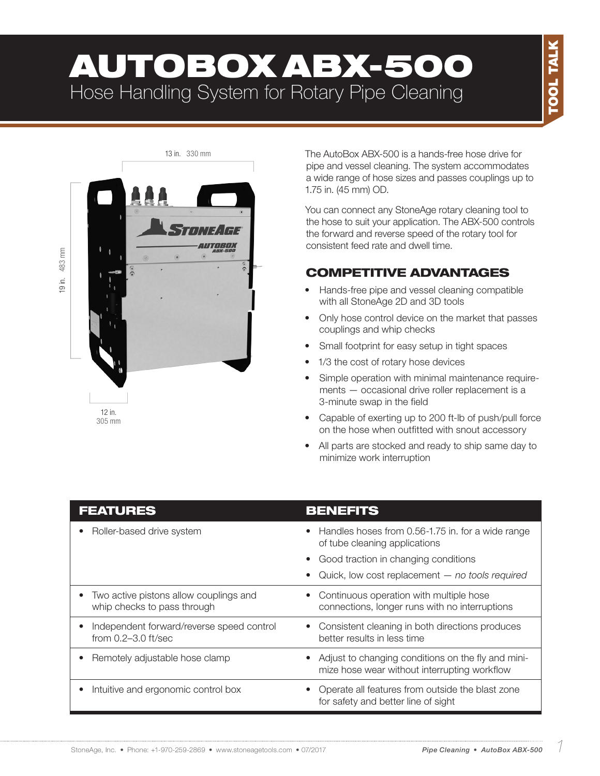# AUTOBOX ABX-500 Hose Handling System for Rotary Pipe Cleaning



The AutoBox ABX-500 is a hands-free hose drive for pipe and vessel cleaning. The system accommodates a wide range of hose sizes and passes couplings up to 1.75 in. (45 mm) OD.

You can connect any StoneAge rotary cleaning tool to the hose to suit your application. The ABX-500 controls the forward and reverse speed of the rotary tool for consistent feed rate and dwell time.

#### COMPETITIVE ADVANTAGES

- Hands-free pipe and vessel cleaning compatible with all StoneAge 2D and 3D tools
- Only hose control device on the market that passes couplings and whip checks
- Small footprint for easy setup in tight spaces
- 1/3 the cost of rotary hose devices
- Simple operation with minimal maintenance requirements — occasional drive roller replacement is a 3-minute swap in the field
- Capable of exerting up to 200 ft-lb of push/pull force on the hose when outfitted with snout accessory
- All parts are stocked and ready to ship same day to minimize work interruption

| <b>FEATURES</b>                                                            | <b>BENEFITS</b>                                                                                        |
|----------------------------------------------------------------------------|--------------------------------------------------------------------------------------------------------|
| Roller-based drive system<br>٠                                             | Handles hoses from 0.56-1.75 in. for a wide range<br>$\bullet$<br>of tube cleaning applications        |
|                                                                            | • Good traction in changing conditions                                                                 |
|                                                                            | Quick, low cost replacement $-$ no tools required<br>$\bullet$                                         |
| Two active pistons allow couplings and<br>٠<br>whip checks to pass through | Continuous operation with multiple hose<br>$\bullet$<br>connections, longer runs with no interruptions |
| Independent forward/reverse speed control<br>from 0.2-3.0 ft/sec           | Consistent cleaning in both directions produces<br>$\bullet$<br>better results in less time            |
| Remotely adjustable hose clamp                                             | • Adjust to changing conditions on the fly and mini-<br>mize hose wear without interrupting workflow   |
| Intuitive and ergonomic control box<br>$\bullet$                           | Operate all features from outside the blast zone<br>for safety and better line of sight                |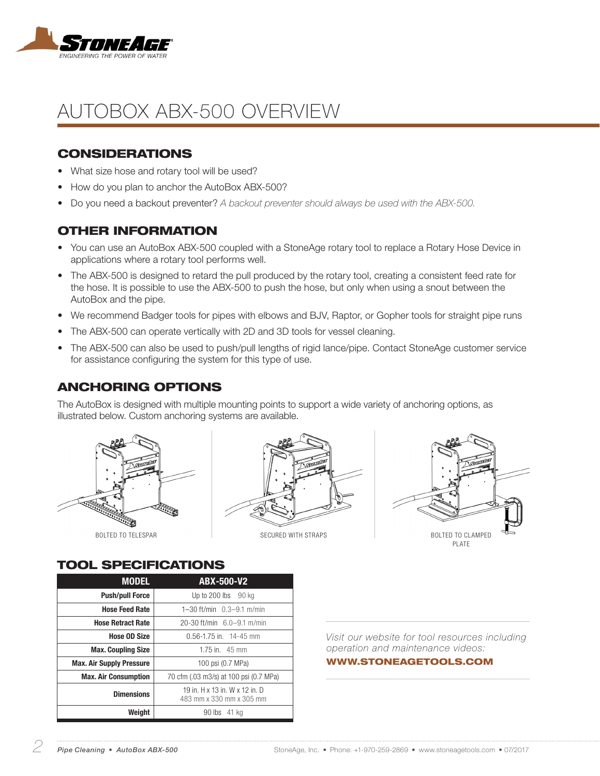

## AUTOBOX ABX-500 OVERVIEW

#### **CONSIDERATIONS**

- What size hose and rotary tool will be used?
- How do you plan to anchor the AutoBox ABX-500?
- Do you need a backout preventer? *A backout preventer should always be used with the ABX-500.*

#### OTHER INFORMATION

- You can use an AutoBox ABX-500 coupled with a StoneAge rotary tool to replace a Rotary Hose Device in applications where a rotary tool performs well.
- The ABX-500 is designed to retard the pull produced by the rotary tool, creating a consistent feed rate for the hose. It is possible to use the ABX-500 to push the hose, but only when using a snout between the AutoBox and the pipe.
- We recommend Badger tools for pipes with elbows and BJV, Raptor, or Gopher tools for straight pipe runs
- The ABX-500 can operate vertically with 2D and 3D tools for vessel cleaning.
- The ABX-500 can also be used to push/pull lengths of rigid lance/pipe. Contact StoneAge customer service for assistance configuring the system for this type of use.

#### ANCHORING OPTIONS

The AutoBox is designed with multiple mounting points to support a wide variety of anchoring options, as illustrated below. Custom anchoring systems are available.







#### TOOL SPECIFICATIONS

| <b>MODEL</b>                    | <b>ABX-500-V2</b>                                          |  |
|---------------------------------|------------------------------------------------------------|--|
| <b>Push/pull Force</b>          | Up to $200$ lbs $90$ kg                                    |  |
| <b>Hose Feed Rate</b>           | 1-30 ft/min $0.3-9.1$ m/min                                |  |
| <b>Hose Retract Rate</b>        | 20-30 ft/min 6.0-9.1 m/min                                 |  |
| <b>Hose OD Size</b>             | $0.56 - 1.75$ in. 14-45 mm                                 |  |
| <b>Max. Coupling Size</b>       | 1.75 in. $45 \text{ mm}$                                   |  |
| <b>Max. Air Supply Pressure</b> | 100 psi (0.7 MPa)                                          |  |
| <b>Max. Air Consumption</b>     | 70 cfm (.03 m3/s) at 100 psi (0.7 MPa)                     |  |
| <b>Dimensions</b>               | 19 in. H x 13 in. W x 12 in. D<br>483 mm x 330 mm x 305 mm |  |
| Weiaht                          | 90 lbs 41 kg                                               |  |

*Visit our website for tool resources including operation and maintenance videos:* 

WWW.STONEAGETOOLS.COM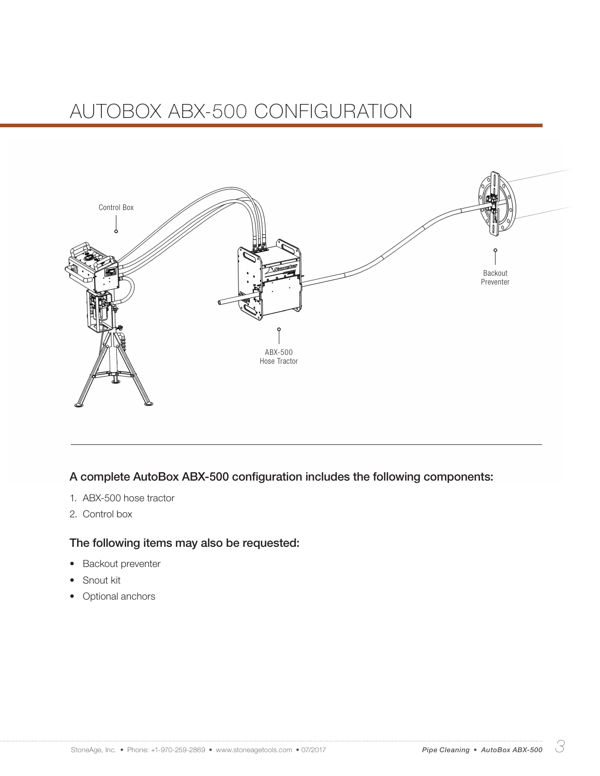## AUTOBOX ABX-500 CONFIGURATION



#### A complete AutoBox ABX-500 configuration includes the following components:

- 1. ABX-500 hose tractor
- 2. Control box

#### The following items may also be requested:

- Backout preventer
- Snout kit
- **Optional anchors**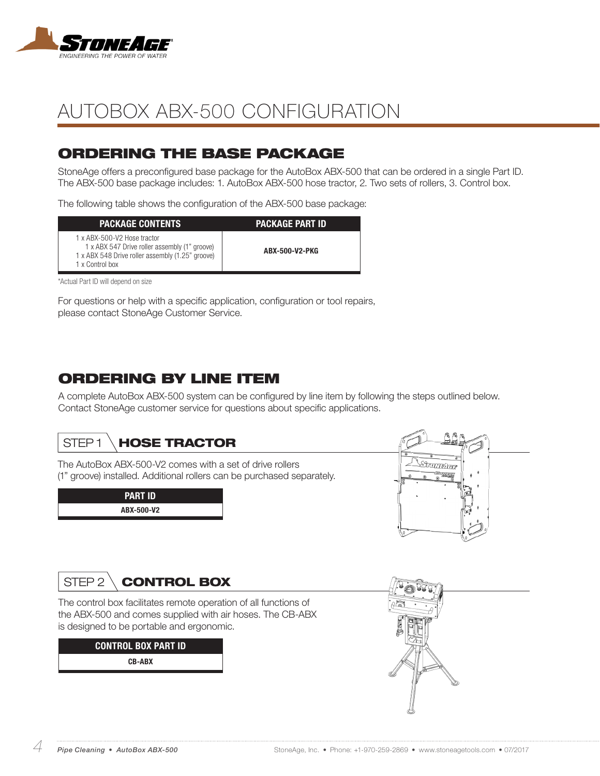

## AUTOBOX ABX-500 CONFIGURATION

### ORDERING THE BASE PACKAGE

StoneAge offers a preconfigured base package for the AutoBox ABX-500 that can be ordered in a single Part ID. The ABX-500 base package includes: 1. AutoBox ABX-500 hose tractor, 2. Two sets of rollers, 3. Control box.

The following table shows the configuration of the ABX-500 base package:

| <b>PACKAGE CONTENTS</b>                                                                                                                             | <b>PACKAGE PART ID</b> |
|-----------------------------------------------------------------------------------------------------------------------------------------------------|------------------------|
| 1 x ABX-500-V2 Hose tractor<br>1 x ABX 547 Drive roller assembly (1" groove)<br>1 x ABX 548 Drive roller assembly (1.25" groove)<br>1 x Control box | ABX-500-V2-PKG         |

\*Actual Part ID will depend on size

For questions or help with a specific application, configuration or tool repairs, please contact StoneAge Customer Service.

### ORDERING BY LINE ITEM

A complete AutoBox ABX-500 system can be configured by line item by following the steps outlined below. Contact StoneAge customer service for questions about specific applications.

### STEP1 \**HOSE TRACTOR**

The AutoBox ABX-500-V2 comes with a set of drive rollers (1" groove) installed. Additional rollers can be purchased separately.

| <b>PART ID</b> |  |  |
|----------------|--|--|
| ABX-500-V2     |  |  |



## STEP 2 \ **CONTROL BOX**

The control box facilitates remote operation of all functions of the ABX-500 and comes supplied with air hoses. The CB-ABX is designed to be portable and ergonomic.

> CONTROL BOX PART ID CB-ABX